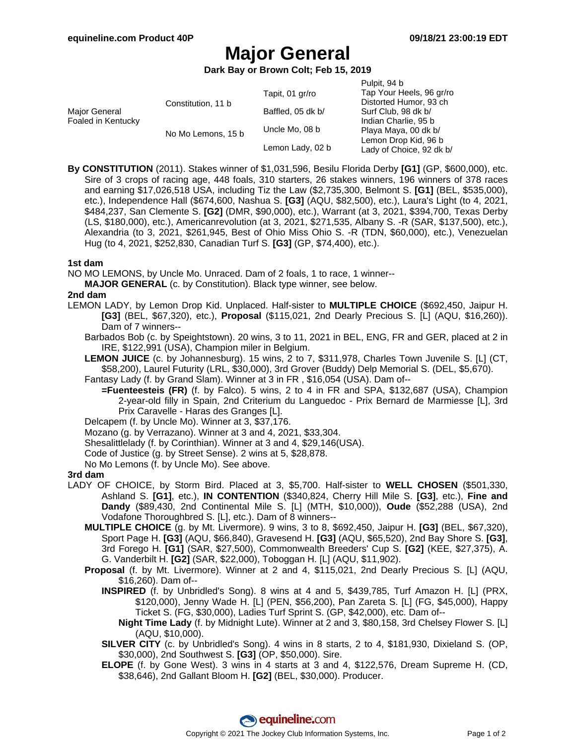# **Major General**

**Dark Bay or Brown Colt; Feb 15, 2019**

|                                     |                    |                   | Pulpit, 94 b             |
|-------------------------------------|--------------------|-------------------|--------------------------|
|                                     |                    | Tapit, 01 gr/ro   | Tap Your Heels, 96 gr/ro |
| Major General<br>Foaled in Kentucky | Constitution, 11 b |                   | Distorted Humor, 93 ch   |
|                                     |                    | Baffled, 05 dk b/ | Surf Club, 98 dk b/      |
|                                     |                    |                   | Indian Charlie, 95 b     |
|                                     | No Mo Lemons, 15 b | Uncle Mo, 08 b    | Playa Maya, 00 dk b/     |
|                                     |                    |                   | Lemon Drop Kid, 96 b     |
|                                     |                    | Lemon Lady, 02 b  | Lady of Choice, 92 dk b/ |

**By CONSTITUTION** (2011). Stakes winner of \$1,031,596, Besilu Florida Derby **[G1]** (GP, \$600,000), etc. Sire of 3 crops of racing age, 448 foals, 310 starters, 26 stakes winners, 196 winners of 378 races and earning \$17,026,518 USA, including Tiz the Law (\$2,735,300, Belmont S. **[G1]** (BEL, \$535,000), etc.), Independence Hall (\$674,600, Nashua S. **[G3]** (AQU, \$82,500), etc.), Laura's Light (to 4, 2021, \$484,237, San Clemente S. **[G2]** (DMR, \$90,000), etc.), Warrant (at 3, 2021, \$394,700, Texas Derby (LS, \$180,000), etc.), Americanrevolution (at 3, 2021, \$271,535, Albany S. -R (SAR, \$137,500), etc.), Alexandria (to 3, 2021, \$261,945, Best of Ohio Miss Ohio S. -R (TDN, \$60,000), etc.), Venezuelan Hug (to 4, 2021, \$252,830, Canadian Turf S. **[G3]** (GP, \$74,400), etc.).

#### **1st dam**

NO MO LEMONS, by Uncle Mo. Unraced. Dam of 2 foals, 1 to race, 1 winner--

**MAJOR GENERAL** (c. by Constitution). Black type winner, see below.

#### **2nd dam**

- LEMON LADY, by Lemon Drop Kid. Unplaced. Half-sister to **MULTIPLE CHOICE** (\$692,450, Jaipur H. **[G3]** (BEL, \$67,320), etc.), **Proposal** (\$115,021, 2nd Dearly Precious S. [L] (AQU, \$16,260)). Dam of 7 winners--
	- Barbados Bob (c. by Speightstown). 20 wins, 3 to 11, 2021 in BEL, ENG, FR and GER, placed at 2 in IRE, \$122,991 (USA), Champion miler in Belgium.
	- **LEMON JUICE** (c. by Johannesburg). 15 wins, 2 to 7, \$311,978, Charles Town Juvenile S. [L] (CT, \$58,200), Laurel Futurity (LRL, \$30,000), 3rd Grover (Buddy) Delp Memorial S. (DEL, \$5,670).

Fantasy Lady (f. by Grand Slam). Winner at 3 in FR , \$16,054 (USA). Dam of--

- **=Fuenteesteis (FR)** (f. by Falco). 5 wins, 2 to 4 in FR and SPA, \$132,687 (USA), Champion 2-year-old filly in Spain, 2nd Criterium du Languedoc - Prix Bernard de Marmiesse [L], 3rd Prix Caravelle - Haras des Granges [L].
- Delcapem (f. by Uncle Mo). Winner at 3, \$37,176.

Mozano (g. by Verrazano). Winner at 3 and 4, 2021, \$33,304.

- Shesalittlelady (f. by Corinthian). Winner at 3 and 4, \$29,146(USA).
- Code of Justice (g. by Street Sense). 2 wins at 5, \$28,878.
- No Mo Lemons (f. by Uncle Mo). See above.

## **3rd dam**

- LADY OF CHOICE, by Storm Bird. Placed at 3, \$5,700. Half-sister to **WELL CHOSEN** (\$501,330, Ashland S. **[G1]**, etc.), **IN CONTENTION** (\$340,824, Cherry Hill Mile S. **[G3]**, etc.), **Fine and Dandy** (\$89,430, 2nd Continental Mile S. [L] (MTH, \$10,000)), **Oude** (\$52,288 (USA), 2nd Vodafone Thoroughbred S. [L], etc.). Dam of 8 winners--
	- **MULTIPLE CHOICE** (g. by Mt. Livermore). 9 wins, 3 to 8, \$692,450, Jaipur H. **[G3]** (BEL, \$67,320), Sport Page H. **[G3]** (AQU, \$66,840), Gravesend H. **[G3]** (AQU, \$65,520), 2nd Bay Shore S. **[G3]**, 3rd Forego H. **[G1]** (SAR, \$27,500), Commonwealth Breeders' Cup S. **[G2]** (KEE, \$27,375), A. G. Vanderbilt H. **[G2]** (SAR, \$22,000), Toboggan H. [L] (AQU, \$11,902).
	- **Proposal** (f. by Mt. Livermore). Winner at 2 and 4, \$115,021, 2nd Dearly Precious S. [L] (AQU, \$16,260). Dam of--
		- **INSPIRED** (f. by Unbridled's Song). 8 wins at 4 and 5, \$439,785, Turf Amazon H. [L] (PRX, \$120,000), Jenny Wade H. [L] (PEN, \$56,200), Pan Zareta S. [L] (FG, \$45,000), Happy Ticket S. (FG, \$30,000), Ladies Turf Sprint S. (GP, \$42,000), etc. Dam of--
			- **Night Time Lady** (f. by Midnight Lute). Winner at 2 and 3, \$80,158, 3rd Chelsey Flower S. [L] (AQU, \$10,000).
		- **SILVER CITY** (c. by Unbridled's Song). 4 wins in 8 starts, 2 to 4, \$181,930, Dixieland S. (OP, \$30,000), 2nd Southwest S. **[G3]** (OP, \$50,000). Sire.
		- **ELOPE** (f. by Gone West). 3 wins in 4 starts at 3 and 4, \$122,576, Dream Supreme H. (CD, \$38,646), 2nd Gallant Bloom H. **[G2]** (BEL, \$30,000). Producer.